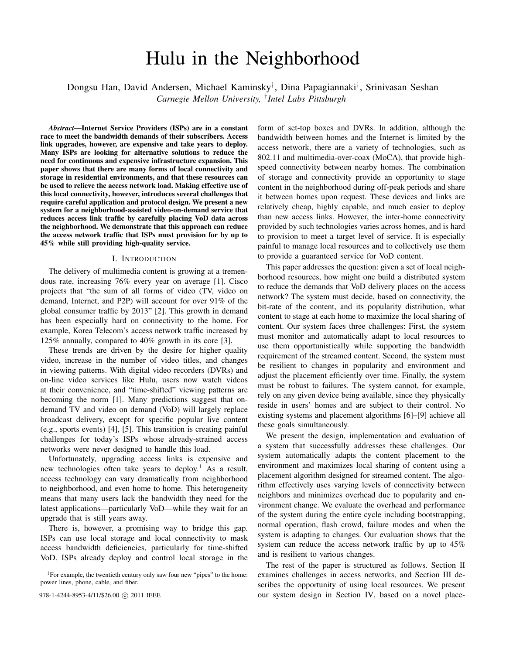# Hulu in the Neighborhood

Dongsu Han, David Andersen, Michael Kaminsky† , Dina Papagiannaki† , Srinivasan Seshan *Carnegie Mellon University,* † *Intel Labs Pittsburgh*

*Abstract*—Internet Service Providers (ISPs) are in a constant race to meet the bandwidth demands of their subscribers. Access link upgrades, however, are expensive and take years to deploy. Many ISPs are looking for alternative solutions to reduce the need for continuous and expensive infrastructure expansion. This paper shows that there are many forms of local connectivity and storage in residential environments, and that these resources can be used to relieve the access network load. Making effective use of this local connectivity, however, introduces several challenges that require careful application and protocol design. We present a new system for a neighborhood-assisted video-on-demand service that reduces access link traffic by carefully placing VoD data across the neighborhood. We demonstrate that this approach can reduce the access network traffic that ISPs must provision for by up to 45% while still providing high-quality service.

#### I. INTRODUCTION

The delivery of multimedia content is growing at a tremendous rate, increasing 76% every year on average [1]. Cisco projects that "the sum of all forms of video (TV, video on demand, Internet, and P2P) will account for over 91% of the global consumer traffic by 2013" [2]. This growth in demand has been especially hard on connectivity to the home. For example, Korea Telecom's access network traffic increased by 125% annually, compared to 40% growth in its core [3].

These trends are driven by the desire for higher quality video, increase in the number of video titles, and changes in viewing patterns. With digital video recorders (DVRs) and on-line video services like Hulu, users now watch videos at their convenience, and "time-shifted" viewing patterns are becoming the norm [1]. Many predictions suggest that ondemand TV and video on demand (VoD) will largely replace broadcast delivery, except for specific popular live content (e.g., sports events) [4], [5]. This transition is creating painful challenges for today's ISPs whose already-strained access networks were never designed to handle this load.

Unfortunately, upgrading access links is expensive and new technologies often take years to deploy.<sup>1</sup> As a result, access technology can vary dramatically from neighborhood to neighborhood, and even home to home. This heterogeneity means that many users lack the bandwidth they need for the latest applications—particularly VoD—while they wait for an upgrade that is still years away.

There is, however, a promising way to bridge this gap. ISPs can use local storage and local connectivity to mask access bandwidth deficiencies, particularly for time-shifted VoD. ISPs already deploy and control local storage in the

form of set-top boxes and DVRs. In addition, although the bandwidth between homes and the Internet is limited by the access network, there are a variety of technologies, such as 802.11 and multimedia-over-coax (MoCA), that provide highspeed connectivity between nearby homes. The combination of storage and connectivity provide an opportunity to stage content in the neighborhood during off-peak periods and share it between homes upon request. These devices and links are relatively cheap, highly capable, and much easier to deploy than new access links. However, the inter-home connectivity provided by such technologies varies across homes, and is hard to provision to meet a target level of service. It is especially painful to manage local resources and to collectively use them to provide a guaranteed service for VoD content.

This paper addresses the question: given a set of local neighborhood resources, how might one build a distributed system to reduce the demands that VoD delivery places on the access network? The system must decide, based on connectivity, the bit-rate of the content, and its popularity distribution, what content to stage at each home to maximize the local sharing of content. Our system faces three challenges: First, the system must monitor and automatically adapt to local resources to use them opportunistically while supporting the bandwidth requirement of the streamed content. Second, the system must be resilient to changes in popularity and environment and adjust the placement efficiently over time. Finally, the system must be robust to failures. The system cannot, for example, rely on any given device being available, since they physically reside in users' homes and are subject to their control. No existing systems and placement algorithms [6]–[9] achieve all these goals simultaneously.

We present the design, implementation and evaluation of a system that successfully addresses these challenges. Our system automatically adapts the content placement to the environment and maximizes local sharing of content using a placement algorithm designed for streamed content. The algorithm effectively uses varying levels of connectivity between neighbors and minimizes overhead due to popularity and environment change. We evaluate the overhead and performance of the system during the entire cycle including bootstrapping, normal operation, flash crowd, failure modes and when the system is adapting to changes. Our evaluation shows that the system can reduce the access network traffic by up to 45% and is resilient to various changes.

The rest of the paper is structured as follows. Section II examines challenges in access networks, and Section III describes the opportunity of using local resources. We present 978-1-4244-8953-4/11/\$26.00 © 2011 IEEE our system design in Section IV, based on a novel place-

<sup>&</sup>lt;sup>1</sup>For example, the twentieth century only saw four new "pipes" to the home: power lines, phone, cable, and fiber.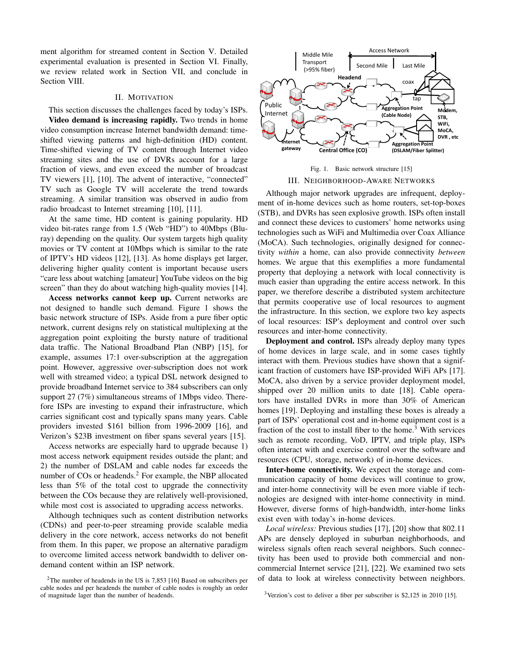ment algorithm for streamed content in Section V. Detailed experimental evaluation is presented in Section VI. Finally, we review related work in Section VII, and conclude in Section VIII.

#### II. MOTIVATION

This section discusses the challenges faced by today's ISPs.

Video demand is increasing rapidly. Two trends in home video consumption increase Internet bandwidth demand: timeshifted viewing patterns and high-definition (HD) content. Time-shifted viewing of TV content through Internet video streaming sites and the use of DVRs account for a large fraction of views, and even exceed the number of broadcast TV viewers [1], [10]. The advent of interactive, "connected" TV such as Google TV will accelerate the trend towards streaming. A similar transition was observed in audio from radio broadcast to Internet streaming [10], [11].

At the same time, HD content is gaining popularity. HD video bit-rates range from 1.5 (Web "HD") to 40Mbps (Bluray) depending on the quality. Our system targets high quality movies or TV content at 10Mbps which is similar to the rate of IPTV's HD videos [12], [13]. As home displays get larger, delivering higher quality content is important because users "care less about watching [amateur] YouTube videos on the big screen" than they do about watching high-quality movies [14].

Access networks cannot keep up. Current networks are not designed to handle such demand. Figure 1 shows the basic network structure of ISPs. Aside from a pure fiber optic network, current designs rely on statistical multiplexing at the aggregation point exploiting the bursty nature of traditional data traffic. The National Broadband Plan (NBP) [15], for example, assumes 17:1 over-subscription at the aggregation point. However, aggressive over-subscription does not work well with streamed video; a typical DSL network designed to provide broadband Internet service to 384 subscribers can only support 27 (7%) simultaneous streams of 1Mbps video. Therefore ISPs are investing to expand their infrastructure, which carries significant cost and typically spans many years. Cable providers invested \$161 billion from 1996-2009 [16], and Verizon's \$23B investment on fiber spans several years [15].

Access networks are especially hard to upgrade because 1) most access network equipment resides outside the plant; and 2) the number of DSLAM and cable nodes far exceeds the number of COs or headends.<sup>2</sup> For example, the NBP allocated less than 5% of the total cost to upgrade the connectivity between the COs because they are relatively well-provisioned, while most cost is associated to upgrading access networks.

Although techniques such as content distribution networks (CDNs) and peer-to-peer streaming provide scalable media delivery in the core network, access networks do not benefit from them. In this paper, we propose an alternative paradigm to overcome limited access network bandwidth to deliver ondemand content within an ISP network.





Fig. 1. Basic network structure [15]

III. NEIGHBORHOOD-AWARE NETWORKS

Although major network upgrades are infrequent, deployment of in-home devices such as home routers, set-top-boxes (STB), and DVRs has seen explosive growth. ISPs often install and connect these devices to customers' home networks using technologies such as WiFi and Multimedia over Coax Alliance (MoCA). Such technologies, originally designed for connectivity *within* a home, can also provide connectivity *between* homes. We argue that this exemplifies a more fundamental property that deploying a network with local connectivity is much easier than upgrading the entire access network. In this paper, we therefore describe a distributed system architecture that permits cooperative use of local resources to augment the infrastructure. In this section, we explore two key aspects of local resources: ISP's deployment and control over such resources and inter-home connectivity.

Deployment and control. ISPs already deploy many types of home devices in large scale, and in some cases tightly interact with them. Previous studies have shown that a significant fraction of customers have ISP-provided WiFi APs [17]. MoCA, also driven by a service provider deployment model, shipped over 20 million units to date [18]. Cable operators have installed DVRs in more than 30% of American homes [19]. Deploying and installing these boxes is already a part of ISPs' operational cost and in-home equipment cost is a fraction of the cost to install fiber to the home.<sup>3</sup> With services such as remote recording, VoD, IPTV, and triple play, ISPs often interact with and exercise control over the software and resources (CPU, storage, network) of in-home devices.

Inter-home connectivity. We expect the storage and communication capacity of home devices will continue to grow, and inter-home connectivity will be even more viable if technologies are designed with inter-home connectivity in mind. However, diverse forms of high-bandwidth, inter-home links exist even with today's in-home devices.

*Local wireless:* Previous studies [17], [20] show that 802.11 APs are densely deployed in suburban neighborhoods, and wireless signals often reach several neighbors. Such connectivity has been used to provide both commercial and noncommercial Internet service [21], [22]. We examined two sets of data to look at wireless connectivity between neighbors.

<sup>3</sup>Verzion's cost to deliver a fiber per subscriber is \$2,125 in 2010 [15].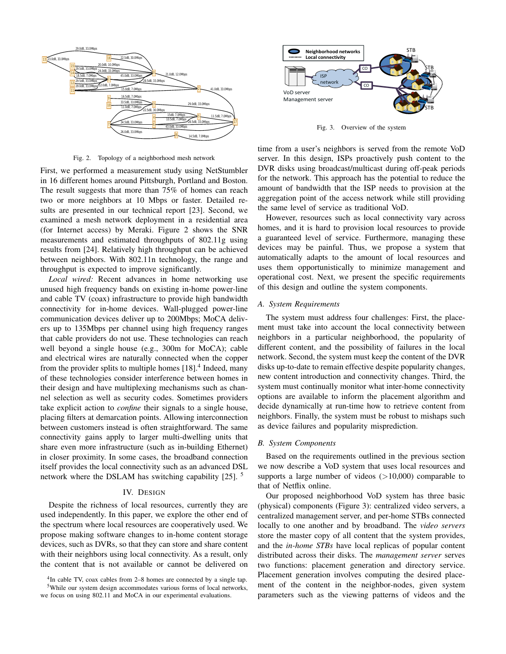

Fig. 2. Topology of a neighborhood mesh network

First, we performed a measurement study using NetStumbler in 16 different homes around Pittsburgh, Portland and Boston. The result suggests that more than 75% of homes can reach two or more neighbors at 10 Mbps or faster. Detailed results are presented in our technical report [23]. Second, we examined a mesh network deployment in a residential area (for Internet access) by Meraki. Figure 2 shows the SNR measurements and estimated throughputs of 802.11g using results from [24]. Relatively high throughput can be achieved between neighbors. With 802.11n technology, the range and throughput is expected to improve significantly.

*Local wired:* Recent advances in home networking use unused high frequency bands on existing in-home power-line and cable TV (coax) infrastructure to provide high bandwidth connectivity for in-home devices. Wall-plugged power-line communication devices deliver up to 200Mbps; MoCA delivers up to 135Mbps per channel using high frequency ranges that cable providers do not use. These technologies can reach well beyond a single house (e.g., 300m for MoCA); cable and electrical wires are naturally connected when the copper from the provider splits to multiple homes [18].<sup>4</sup> Indeed, many of these technologies consider interference between homes in their design and have multiplexing mechanisms such as channel selection as well as security codes. Sometimes providers take explicit action to *confine* their signals to a single house, placing filters at demarcation points. Allowing interconnection between customers instead is often straightforward. The same connectivity gains apply to larger multi-dwelling units that share even more infrastructure (such as in-building Ethernet) in closer proximity. In some cases, the broadband connection itself provides the local connectivity such as an advanced DSL network where the DSLAM has switching capability [25]. <sup>5</sup>

#### IV. DESIGN

Despite the richness of local resources, currently they are used independently. In this paper, we explore the other end of the spectrum where local resources are cooperatively used. We propose making software changes to in-home content storage devices, such as DVRs, so that they can store and share content with their neighbors using local connectivity. As a result, only the content that is not available or cannot be delivered on



Fig. 3. Overview of the system

time from a user's neighbors is served from the remote VoD server. In this design, ISPs proactively push content to the DVR disks using broadcast/multicast during off-peak periods for the network. This approach has the potential to reduce the amount of bandwidth that the ISP needs to provision at the aggregation point of the access network while still providing the same level of service as traditional VoD.

However, resources such as local connectivity vary across homes, and it is hard to provision local resources to provide a guaranteed level of service. Furthermore, managing these devices may be painful. Thus, we propose a system that automatically adapts to the amount of local resources and uses them opportunistically to minimize management and operational cost. Next, we present the specific requirements of this design and outline the system components.

#### *A. System Requirements*

The system must address four challenges: First, the placement must take into account the local connectivity between neighbors in a particular neighborhood, the popularity of different content, and the possibility of failures in the local network. Second, the system must keep the content of the DVR disks up-to-date to remain effective despite popularity changes, new content introduction and connectivity changes. Third, the system must continually monitor what inter-home connectivity options are available to inform the placement algorithm and decide dynamically at run-time how to retrieve content from neighbors. Finally, the system must be robust to mishaps such as device failures and popularity misprediction.

#### *B. System Components*

Based on the requirements outlined in the previous section we now describe a VoD system that uses local resources and supports a large number of videos  $(>10,000)$  comparable to that of Netflix online.

Our proposed neighborhood VoD system has three basic (physical) components (Figure 3): centralized video servers, a centralized management server, and per-home STBs connected locally to one another and by broadband. The *video servers* store the master copy of all content that the system provides, and the *in-home STBs* have local replicas of popular content distributed across their disks. The *management server* serves two functions: placement generation and directory service. Placement generation involves computing the desired placement of the content in the neighbor-nodes, given system parameters such as the viewing patterns of videos and the

<sup>4</sup> In cable TV, coax cables from 2–8 homes are connected by a single tap. <sup>5</sup>While our system design accommodates various forms of local networks, we focus on using 802.11 and MoCA in our experimental evaluations.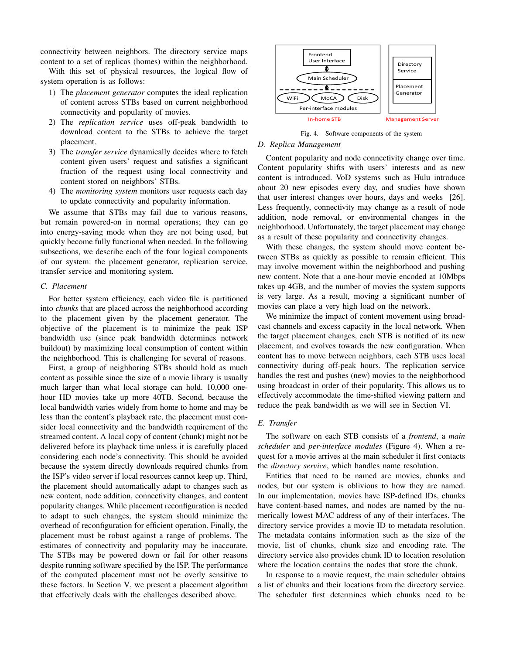connectivity between neighbors. The directory service maps content to a set of replicas (homes) within the neighborhood.

With this set of physical resources, the logical flow of system operation is as follows:

- 1) The *placement generator* computes the ideal replication of content across STBs based on current neighborhood connectivity and popularity of movies.
- 2) The *replication service* uses off-peak bandwidth to download content to the STBs to achieve the target placement.
- 3) The *transfer service* dynamically decides where to fetch content given users' request and satisfies a significant fraction of the request using local connectivity and content stored on neighbors' STBs.
- 4) The *monitoring system* monitors user requests each day to update connectivity and popularity information.

We assume that STBs may fail due to various reasons, but remain powered-on in normal operations; they can go into energy-saving mode when they are not being used, but quickly become fully functional when needed. In the following subsections, we describe each of the four logical components of our system: the placement generator, replication service, transfer service and monitoring system.

## *C. Placement*

For better system efficiency, each video file is partitioned into *chunks* that are placed across the neighborhood according to the placement given by the placement generator. The objective of the placement is to minimize the peak ISP bandwidth use (since peak bandwidth determines network buildout) by maximizing local consumption of content within the neighborhood. This is challenging for several of reasons.

First, a group of neighboring STBs should hold as much content as possible since the size of a movie library is usually much larger than what local storage can hold. 10,000 onehour HD movies take up more 40TB. Second, because the local bandwidth varies widely from home to home and may be less than the content's playback rate, the placement must consider local connectivity and the bandwidth requirement of the streamed content. A local copy of content (chunk) might not be delivered before its playback time unless it is carefully placed considering each node's connectivity. This should be avoided because the system directly downloads required chunks from the ISP's video server if local resources cannot keep up. Third, the placement should automatically adapt to changes such as new content, node addition, connectivity changes, and content popularity changes. While placement reconfiguration is needed to adapt to such changes, the system should minimize the overhead of reconfiguration for efficient operation. Finally, the placement must be robust against a range of problems. The estimates of connectivity and popularity may be inaccurate. The STBs may be powered down or fail for other reasons despite running software specified by the ISP. The performance of the computed placement must not be overly sensitive to these factors. In Section V, we present a placement algorithm that effectively deals with the challenges described above.



Fig. 4. Software components of the system

## *D. Replica Management*

Content popularity and node connectivity change over time. Content popularity shifts with users' interests and as new content is introduced. VoD systems such as Hulu introduce about 20 new episodes every day, and studies have shown that user interest changes over hours, days and weeks [26]. Less frequently, connectivity may change as a result of node addition, node removal, or environmental changes in the neighborhood. Unfortunately, the target placement may change as a result of these popularity and connectivity changes.

With these changes, the system should move content between STBs as quickly as possible to remain efficient. This may involve movement within the neighborhood and pushing new content. Note that a one-hour movie encoded at 10Mbps takes up 4GB, and the number of movies the system supports is very large. As a result, moving a significant number of movies can place a very high load on the network.

We minimize the impact of content movement using broadcast channels and excess capacity in the local network. When the target placement changes, each STB is notified of its new placement, and evolves towards the new configuration. When content has to move between neighbors, each STB uses local connectivity during off-peak hours. The replication service handles the rest and pushes (new) movies to the neighborhood using broadcast in order of their popularity. This allows us to effectively accommodate the time-shifted viewing pattern and reduce the peak bandwidth as we will see in Section VI.

## *E. Transfer*

The software on each STB consists of a *frontend*, a *main scheduler* and *per-interface modules* (Figure 4). When a request for a movie arrives at the main scheduler it first contacts the *directory service*, which handles name resolution.

Entities that need to be named are movies, chunks and nodes, but our system is oblivious to how they are named. In our implementation, movies have ISP-defined IDs, chunks have content-based names, and nodes are named by the numerically lowest MAC address of any of their interfaces. The directory service provides a movie ID to metadata resolution. The metadata contains information such as the size of the movie, list of chunks, chunk size and encoding rate. The directory service also provides chunk ID to location resolution where the location contains the nodes that store the chunk.

In response to a movie request, the main scheduler obtains a list of chunks and their locations from the directory service. The scheduler first determines which chunks need to be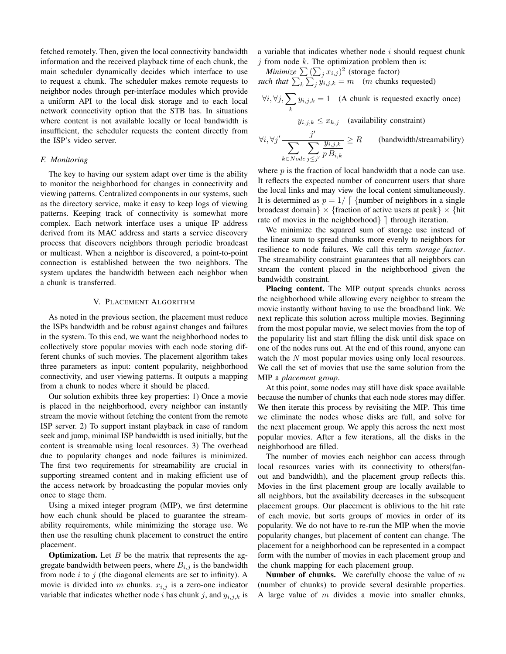fetched remotely. Then, given the local connectivity bandwidth information and the received playback time of each chunk, the main scheduler dynamically decides which interface to use to request a chunk. The scheduler makes remote requests to neighbor nodes through per-interface modules which provide a uniform API to the local disk storage and to each local network connectivity option that the STB has. In situations where content is not available locally or local bandwidth is insufficient, the scheduler requests the content directly from the ISP's video server.

#### *F. Monitoring*

The key to having our system adapt over time is the ability to monitor the neighborhood for changes in connectivity and viewing patterns. Centralized components in our systems, such as the directory service, make it easy to keep logs of viewing patterns. Keeping track of connectivity is somewhat more complex. Each network interface uses a unique IP address derived from its MAC address and starts a service discovery process that discovers neighbors through periodic broadcast or multicast. When a neighbor is discovered, a point-to-point connection is established between the two neighbors. The system updates the bandwidth between each neighbor when a chunk is transferred.

#### V. PLACEMENT ALGORITHM

As noted in the previous section, the placement must reduce the ISPs bandwidth and be robust against changes and failures in the system. To this end, we want the neighborhood nodes to collectively store popular movies with each node storing different chunks of such movies. The placement algorithm takes three parameters as input: content popularity, neighborhood connectivity, and user viewing patterns. It outputs a mapping from a chunk to nodes where it should be placed.

Our solution exhibits three key properties: 1) Once a movie is placed in the neighborhood, every neighbor can instantly stream the movie without fetching the content from the remote ISP server. 2) To support instant playback in case of random seek and jump, minimal ISP bandwidth is used initially, but the content is streamable using local resources. 3) The overhead due to popularity changes and node failures is minimized. The first two requirements for streamability are crucial in supporting streamed content and in making efficient use of the access network by broadcasting the popular movies only once to stage them.

Using a mixed integer program (MIP), we first determine how each chunk should be placed to guarantee the streamability requirements, while minimizing the storage use. We then use the resulting chunk placement to construct the entire placement.

**Optimization.** Let  $B$  be the matrix that represents the aggregate bandwidth between peers, where  $B_{i,j}$  is the bandwidth from node  $i$  to  $j$  (the diagonal elements are set to infinity). A movie is divided into m chunks.  $x_{i,j}$  is a zero-one indicator variable that indicates whether node i has chunk j, and  $y_{i,j,k}$  is a variable that indicates whether node  $i$  should request chunk  $j$  from node  $k$ . The optimization problem then is:

*Minimize*  $\sum_{i} (\sum_{j} x_{i,j})^2$  (storage factor) such that  $\sum_{k} \sum_{j} y_{i,j,k} = m$  (*m* chunks requested)

 $\forall$ 

 $\forall i, \forall j, \sum$ k  $y_{i,j,k} = 1$  (A chunk is requested exactly once)

$$
y_{i,j,k} \le x_{k,j} \quad \text{(availability constraint)}
$$
\n
$$
i, \forall j' \frac{j'}{\sum_{k \in Node} \sum_{j \le j'} \frac{y_{i,j,k}}{p \, B_{i,k}}} \ge R \quad \text{(bandwidth/streamability)}
$$

where  $p$  is the fraction of local bandwidth that a node can use. It reflects the expected number of concurrent users that share the local links and may view the local content simultaneously. It is determined as  $p = 1/\int$  {number of neighbors in a single broadcast domain  $\{ \times \}$  fraction of active users at peak  $\{ \times \}$  {hit rate of movies in the neighborhood  $\}$  through iteration.

We minimize the squared sum of storage use instead of the linear sum to spread chunks more evenly to neighbors for resilience to node failures. We call this term *storage factor*. The streamability constraint guarantees that all neighbors can stream the content placed in the neighborhood given the bandwidth constraint.

Placing content. The MIP output spreads chunks across the neighborhood while allowing every neighbor to stream the movie instantly without having to use the broadband link. We next replicate this solution across multiple movies. Beginning from the most popular movie, we select movies from the top of the popularity list and start filling the disk until disk space on one of the nodes runs out. At the end of this round, anyone can watch the N most popular movies using only local resources. We call the set of movies that use the same solution from the MIP a *placement group*.

At this point, some nodes may still have disk space available because the number of chunks that each node stores may differ. We then iterate this process by revisiting the MIP. This time we eliminate the nodes whose disks are full, and solve for the next placement group. We apply this across the next most popular movies. After a few iterations, all the disks in the neighborhood are filled.

The number of movies each neighbor can access through local resources varies with its connectivity to others(fanout and bandwidth), and the placement group reflects this. Movies in the first placement group are locally available to all neighbors, but the availability decreases in the subsequent placement groups. Our placement is oblivious to the hit rate of each movie, but sorts groups of movies in order of its popularity. We do not have to re-run the MIP when the movie popularity changes, but placement of content can change. The placement for a neighborhood can be represented in a compact form with the number of movies in each placement group and the chunk mapping for each placement group.

**Number of chunks.** We carefully choose the value of  $m$ (number of chunks) to provide several desirable properties. A large value of  $m$  divides a movie into smaller chunks,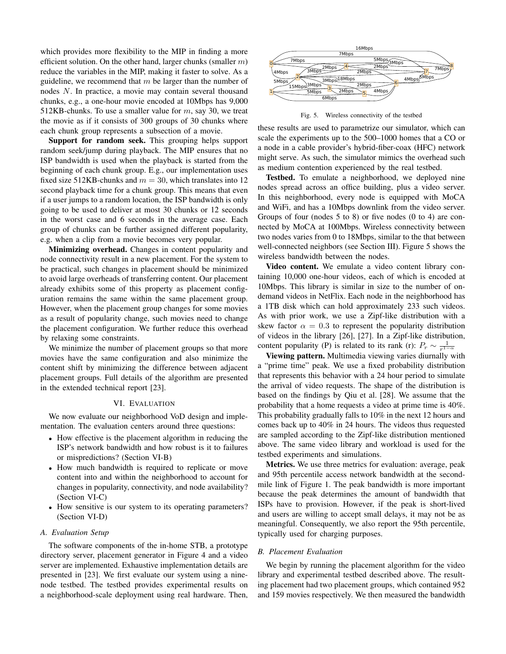which provides more flexibility to the MIP in finding a more efficient solution. On the other hand, larger chunks (smaller  $m$ ) reduce the variables in the MIP, making it faster to solve. As a guideline, we recommend that  $m$  be larger than the number of nodes N. In practice, a movie may contain several thousand chunks, e.g., a one-hour movie encoded at 10Mbps has 9,000 512KB-chunks. To use a smaller value for  $m$ , say 30, we treat the movie as if it consists of 300 groups of 30 chunks where each chunk group represents a subsection of a movie.

Support for random seek. This grouping helps support random seek/jump during playback. The MIP ensures that no ISP bandwidth is used when the playback is started from the beginning of each chunk group. E.g., our implementation uses fixed size 512KB-chunks and  $m = 30$ , which translates into 12 second playback time for a chunk group. This means that even if a user jumps to a random location, the ISP bandwidth is only going to be used to deliver at most 30 chunks or 12 seconds in the worst case and 6 seconds in the average case. Each group of chunks can be further assigned different popularity, e.g. when a clip from a movie becomes very popular.

Minimizing overhead. Changes in content popularity and node connectivity result in a new placement. For the system to be practical, such changes in placement should be minimized to avoid large overheads of transferring content. Our placement already exhibits some of this property as placement configuration remains the same within the same placement group. However, when the placement group changes for some movies as a result of popularity change, such movies need to change the placement configuration. We further reduce this overhead by relaxing some constraints.

We minimize the number of placement groups so that more movies have the same configuration and also minimize the content shift by minimizing the difference between adjacent placement groups. Full details of the algorithm are presented in the extended technical report [23].

#### VI. EVALUATION

We now evaluate our neighborhood VoD design and implementation. The evaluation centers around three questions:

- How effective is the placement algorithm in reducing the ISP's network bandwidth and how robust is it to failures or mispredictions? (Section VI-B)
- How much bandwidth is required to replicate or move content into and within the neighborhood to account for changes in popularity, connectivity, and node availability? (Section VI-C)
- How sensitive is our system to its operating parameters? (Section VI-D)

## *A. Evaluation Setup*

The software components of the in-home STB, a prototype directory server, placement generator in Figure 4 and a video server are implemented. Exhaustive implementation details are presented in [23]. We first evaluate our system using a ninenode testbed. The testbed provides experimental results on a neighborhood-scale deployment using real hardware. Then,



Fig. 5. Wireless connectivity of the testbed

these results are used to parametrize our simulator, which can scale the experiments up to the 500–1000 homes that a CO or a node in a cable provider's hybrid-fiber-coax (HFC) network might serve. As such, the simulator mimics the overhead such as medium contention experienced by the real testbed.

Testbed. To emulate a neighborhood, we deployed nine nodes spread across an office building, plus a video server. In this neighborhood, every node is equipped with MoCA and WiFi, and has a 10Mbps downlink from the video server. Groups of four (nodes 5 to 8) or five nodes (0 to 4) are connected by MoCA at 100Mbps. Wireless connectivity between two nodes varies from 0 to 18Mbps, similar to the that between well-connected neighbors (see Section III). Figure 5 shows the wireless bandwidth between the nodes.

Video content. We emulate a video content library containing 10,000 one-hour videos, each of which is encoded at 10Mbps. This library is similar in size to the number of ondemand videos in NetFlix. Each node in the neighborhood has a 1TB disk which can hold approximately 233 such videos. As with prior work, we use a Zipf-like distribution with a skew factor  $\alpha = 0.3$  to represent the popularity distribution of videos in the library [26], [27]. In a Zipf-like distribution, content popularity (P) is related to its rank (r):  $P_r \sim \frac{1}{r^{1-\alpha}}$ 

Viewing pattern. Multimedia viewing varies diurnally with a "prime time" peak. We use a fixed probability distribution that represents this behavior with a 24 hour period to simulate the arrival of video requests. The shape of the distribution is based on the findings by Qiu et al. [28]. We assume that the probability that a home requests a video at prime time is 40%. This probability gradually falls to 10% in the next 12 hours and comes back up to 40% in 24 hours. The videos thus requested are sampled according to the Zipf-like distribution mentioned above. The same video library and workload is used for the testbed experiments and simulations.

Metrics. We use three metrics for evaluation: average, peak and 95th percentile access network bandwidth at the secondmile link of Figure 1. The peak bandwidth is more important because the peak determines the amount of bandwidth that ISPs have to provision. However, if the peak is short-lived and users are willing to accept small delays, it may not be as meaningful. Consequently, we also report the 95th percentile, typically used for charging purposes.

#### *B. Placement Evaluation*

We begin by running the placement algorithm for the video library and experimental testbed described above. The resulting placement had two placement groups, which contained 952 and 159 movies respectively. We then measured the bandwidth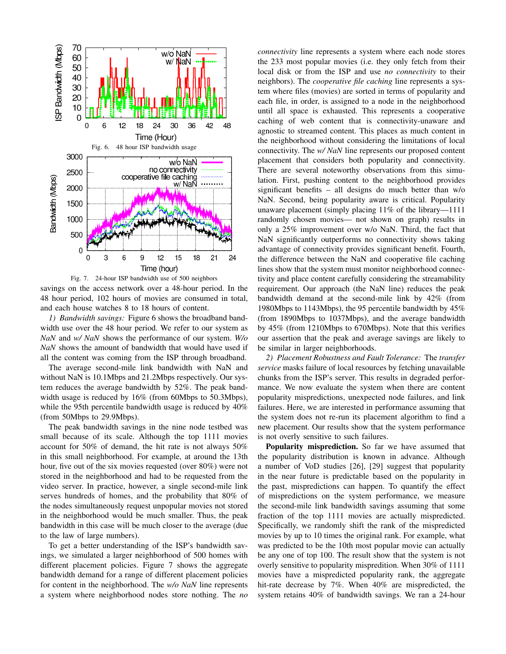



*1) Bandwidth savings:* Figure 6 shows the broadband bandwidth use over the 48 hour period. We refer to our system as *NaN* and *w/ NaN* shows the performance of our system. *W/o NaN* shows the amount of bandwidth that would have used if all the content was coming from the ISP through broadband.

The average second-mile link bandwidth with NaN and without NaN is 10.1Mbps and 21.2Mbps respectively. Our system reduces the average bandwidth by 52%. The peak bandwidth usage is reduced by 16% (from 60Mbps to 50.3Mbps), while the 95th percentile bandwidth usage is reduced by 40% (from 50Mbps to 29.9Mbps).

The peak bandwidth savings in the nine node testbed was small because of its scale. Although the top 1111 movies account for 50% of demand, the hit rate is not always 50% in this small neighborhood. For example, at around the 13th hour, five out of the six movies requested (over 80%) were not stored in the neighborhood and had to be requested from the video server. In practice, however, a single second-mile link serves hundreds of homes, and the probability that 80% of the nodes simultaneously request unpopular movies not stored in the neighborhood would be much smaller. Thus, the peak bandwidth in this case will be much closer to the average (due to the law of large numbers).

To get a better understanding of the ISP's bandwidth savings, we simulated a larger neighborhood of 500 homes with different placement policies. Figure 7 shows the aggregate bandwidth demand for a range of different placement policies for content in the neighborhood. The *w/o NaN* line represents a system where neighborhood nodes store nothing. The *no*

*connectivity* line represents a system where each node stores the 233 most popular movies (i.e. they only fetch from their local disk or from the ISP and use *no connectivity* to their neighbors). The *cooperative file caching* line represents a system where files (movies) are sorted in terms of popularity and each file, in order, is assigned to a node in the neighborhood until all space is exhausted. This represents a cooperative caching of web content that is connectivity-unaware and agnostic to streamed content. This places as much content in the neighborhood without considering the limitations of local connectivity. The *w/ NaN* line represents our proposed content placement that considers both popularity and connectivity. There are several noteworthy observations from this simulation. First, pushing content to the neighborhood provides significant benefits – all designs do much better than w/o NaN. Second, being popularity aware is critical. Popularity unaware placement (simply placing 11% of the library—1111 randomly chosen movies— not shown on graph) results in only a 25% improvement over w/o NaN. Third, the fact that NaN significantly outperforms no connectivity shows taking advantage of connectivity provides significant benefit. Fourth, the difference between the NaN and cooperative file caching lines show that the system must monitor neighborhood connectivity and place content carefully considering the streamability requirement. Our approach (the NaN line) reduces the peak bandwidth demand at the second-mile link by 42% (from 1980Mbps to 1143Mbps), the 95 percentile bandwidth by 45% (from 1890Mbps to 1037Mbps), and the average bandwidth by 45% (from 1210Mbps to 670Mbps). Note that this verifies our assertion that the peak and average savings are likely to be similar in larger neighborhoods.

*2) Placement Robustness and Fault Tolerance:* The *transfer service* masks failure of local resources by fetching unavailable chunks from the ISP's server. This results in degraded performance. We now evaluate the system when there are content popularity mispredictions, unexpected node failures, and link failures. Here, we are interested in performance assuming that the system does not re-run its placement algorithm to find a new placement. Our results show that the system performance is not overly sensitive to such failures.

Popularity misprediction. So far we have assumed that the popularity distribution is known in advance. Although a number of VoD studies [26], [29] suggest that popularity in the near future is predictable based on the popularity in the past, mispredictions can happen. To quantify the effect of mispredictions on the system performance, we measure the second-mile link bandwidth savings assuming that some fraction of the top 1111 movies are actually mispredicted. Specifically, we randomly shift the rank of the mispredicted movies by up to 10 times the original rank. For example, what was predicted to be the 10th most popular movie can actually be any one of top 100. The result show that the system is not overly sensitive to popularity mispredition. When 30% of 1111 movies have a mispredicted popularity rank, the aggregate hit-rate decrease by 7%. When 40% are mispredicted, the system retains 40% of bandwidth savings. We ran a 24-hour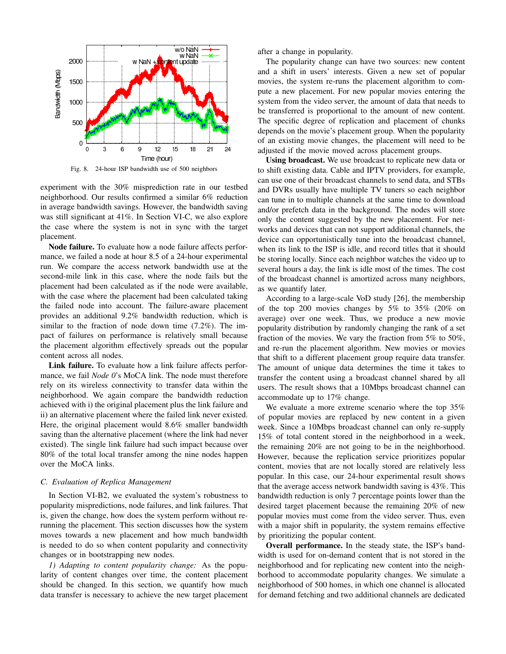

Fig. 8. 24-hour ISP bandwidth use of 500 neighbors

experiment with the 30% misprediction rate in our testbed neighborhood. Our results confirmed a similar 6% reduction in average bandwidth savings. However, the bandwidth saving was still significant at 41%. In Section VI-C, we also explore the case where the system is not in sync with the target placement.

Node failure. To evaluate how a node failure affects performance, we failed a node at hour 8.5 of a 24-hour experimental run. We compare the access network bandwidth use at the second-mile link in this case, where the node fails but the placement had been calculated as if the node were available, with the case where the placement had been calculated taking the failed node into account. The failure-aware placement provides an additional 9.2% bandwidth reduction, which is similar to the fraction of node down time (7.2%). The impact of failures on performance is relatively small because the placement algorithm effectively spreads out the popular content across all nodes.

Link failure. To evaluate how a link failure affects performance, we fail *Node 0*'s MoCA link. The node must therefore rely on its wireless connectivity to transfer data within the neighborhood. We again compare the bandwidth reduction achieved with i) the original placement plus the link failure and ii) an alternative placement where the failed link never existed. Here, the original placement would 8.6% smaller bandwidth saving than the alternative placement (where the link had never existed). The single link failure had such impact because over 80% of the total local transfer among the nine nodes happen over the MoCA links.

## *C. Evaluation of Replica Management*

In Section VI-B2, we evaluated the system's robustness to popularity mispredictions, node failures, and link failures. That is, given the change, how does the system perform without rerunning the placement. This section discusses how the system moves towards a new placement and how much bandwidth is needed to do so when content popularity and connectivity changes or in bootstrapping new nodes.

*1) Adapting to content popularity change:* As the popularity of content changes over time, the content placement should be changed. In this section, we quantify how much data transfer is necessary to achieve the new target placement after a change in popularity.

The popularity change can have two sources: new content and a shift in users' interests. Given a new set of popular movies, the system re-runs the placement algorithm to compute a new placement. For new popular movies entering the system from the video server, the amount of data that needs to be transferred is proportional to the amount of new content. The specific degree of replication and placement of chunks depends on the movie's placement group. When the popularity of an existing movie changes, the placement will need to be adjusted if the movie moved across placement groups.

Using broadcast. We use broadcast to replicate new data or to shift existing data. Cable and IPTV providers, for example, can use one of their broadcast channels to send data, and STBs and DVRs usually have multiple TV tuners so each neighbor can tune in to multiple channels at the same time to download and/or prefetch data in the background. The nodes will store only the content suggested by the new placement. For networks and devices that can not support additional channels, the device can opportunistically tune into the broadcast channel, when its link to the ISP is idle, and record titles that it should be storing locally. Since each neighbor watches the video up to several hours a day, the link is idle most of the times. The cost of the broadcast channel is amortized across many neighbors, as we quantify later.

According to a large-scale VoD study [26], the membership of the top 200 movies changes by  $5\%$  to  $35\%$  (20% on average) over one week. Thus, we produce a new movie popularity distribution by randomly changing the rank of a set fraction of the movies. We vary the fraction from 5% to 50%, and re-run the placement algorithm. New movies or movies that shift to a different placement group require data transfer. The amount of unique data determines the time it takes to transfer the content using a broadcast channel shared by all users. The result shows that a 10Mbps broadcast channel can accommodate up to 17% change.

We evaluate a more extreme scenario where the top 35% of popular movies are replaced by new content in a given week. Since a 10Mbps broadcast channel can only re-supply 15% of total content stored in the neighborhood in a week, the remaining 20% are not going to be in the neighborhood. However, because the replication service prioritizes popular content, movies that are not locally stored are relatively less popular. In this case, our 24-hour experimental result shows that the average access network bandwidth saving is 43%. This bandwidth reduction is only 7 percentage points lower than the desired target placement because the remaining 20% of new popular movies must come from the video server. Thus, even with a major shift in popularity, the system remains effective by prioritizing the popular content.

Overall performance. In the steady state, the ISP's bandwidth is used for on-demand content that is not stored in the neighborhood and for replicating new content into the neighborhood to accommodate popularity changes. We simulate a neighborhood of 500 homes, in which one channel is allocated for demand fetching and two additional channels are dedicated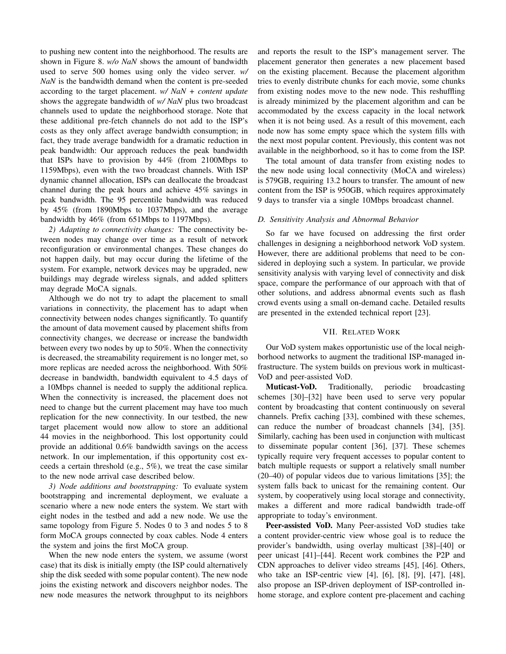to pushing new content into the neighborhood. The results are shown in Figure 8. *w/o NaN* shows the amount of bandwidth used to serve 500 homes using only the video server. *w/ NaN* is the bandwidth demand when the content is pre-seeded according to the target placement. *w/ NaN + content update* shows the aggregate bandwidth of *w/ NaN* plus two broadcast channels used to update the neighborhood storage. Note that these additional pre-fetch channels do not add to the ISP's costs as they only affect average bandwidth consumption; in fact, they trade average bandwidth for a dramatic reduction in peak bandwidth: Our approach reduces the peak bandwidth that ISPs have to provision by 44% (from 2100Mbps to 1159Mbps), even with the two broadcast channels. With ISP dynamic channel allocation, ISPs can deallocate the broadcast channel during the peak hours and achieve 45% savings in peak bandwidth. The 95 percentile bandwidth was reduced by 45% (from 1890Mbps to 1037Mbps), and the average bandwidth by 46% (from 651Mbps to 1197Mbps).

*2) Adapting to connectivity changes:* The connectivity between nodes may change over time as a result of network reconfiguration or environmental changes. These changes do not happen daily, but may occur during the lifetime of the system. For example, network devices may be upgraded, new buildings may degrade wireless signals, and added splitters may degrade MoCA signals.

Although we do not try to adapt the placement to small variations in connectivity, the placement has to adapt when connectivity between nodes changes significantly. To quantify the amount of data movement caused by placement shifts from connectivity changes, we decrease or increase the bandwidth between every two nodes by up to 50%. When the connectivity is decreased, the streamability requirement is no longer met, so more replicas are needed across the neighborhood. With 50% decrease in bandwidth, bandwidth equivalent to 4.5 days of a 10Mbps channel is needed to supply the additional replica. When the connectivity is increased, the placement does not need to change but the current placement may have too much replication for the new connectivity. In our testbed, the new target placement would now allow to store an additional 44 movies in the neighborhood. This lost opportunity could provide an additional 0.6% bandwidth savings on the access network. In our implementation, if this opportunity cost exceeds a certain threshold (e.g., 5%), we treat the case similar to the new node arrival case described below.

*3) Node additions and bootstrapping:* To evaluate system bootstrapping and incremental deployment, we evaluate a scenario where a new node enters the system. We start with eight nodes in the testbed and add a new node. We use the same topology from Figure 5. Nodes 0 to 3 and nodes 5 to 8 form MoCA groups connected by coax cables. Node 4 enters the system and joins the first MoCA group.

When the new node enters the system, we assume (worst case) that its disk is initially empty (the ISP could alternatively ship the disk seeded with some popular content). The new node joins the existing network and discovers neighbor nodes. The new node measures the network throughput to its neighbors and reports the result to the ISP's management server. The placement generator then generates a new placement based on the existing placement. Because the placement algorithm tries to evenly distribute chunks for each movie, some chunks from existing nodes move to the new node. This reshuffling is already minimized by the placement algorithm and can be accommodated by the excess capacity in the local network when it is not being used. As a result of this movement, each node now has some empty space which the system fills with the next most popular content. Previously, this content was not available in the neighborhood, so it has to come from the ISP.

The total amount of data transfer from existing nodes to the new node using local connectivity (MoCA and wireless) is 579GB, requiring 13.2 hours to transfer. The amount of new content from the ISP is 950GB, which requires approximately 9 days to transfer via a single 10Mbps broadcast channel.

## *D. Sensitivity Analysis and Abnormal Behavior*

So far we have focused on addressing the first order challenges in designing a neighborhood network VoD system. However, there are additional problems that need to be considered in deploying such a system. In particular, we provide sensitivity analysis with varying level of connectivity and disk space, compare the performance of our approach with that of other solutions, and address abnormal events such as flash crowd events using a small on-demand cache. Detailed results are presented in the extended technical report [23].

## VII. RELATED WORK

Our VoD system makes opportunistic use of the local neighborhood networks to augment the traditional ISP-managed infrastructure. The system builds on previous work in multicast-VoD and peer-assisted VoD.

Muticast-VoD. Traditionally, periodic broadcasting schemes [30]–[32] have been used to serve very popular content by broadcasting that content continuously on several channels. Prefix caching [33], combined with these schemes, can reduce the number of broadcast channels [34], [35]. Similarly, caching has been used in conjunction with multicast to disseminate popular content [36], [37]. These schemes typically require very frequent accesses to popular content to batch multiple requests or support a relatively small number (20–40) of popular videos due to various limitations [35]; the system falls back to unicast for the remaining content. Our system, by cooperatively using local storage and connectivity, makes a different and more radical bandwidth trade-off appropriate to today's environment.

Peer-assisted VoD. Many Peer-assisted VoD studies take a content provider-centric view whose goal is to reduce the provider's bandwidth, using overlay multicast [38]–[40] or peer unicast [41]–[44]. Recent work combines the P2P and CDN approaches to deliver video streams [45], [46]. Others, who take an ISP-centric view [4], [6], [8], [9], [47], [48], also propose an ISP-driven deployment of ISP-controlled inhome storage, and explore content pre-placement and caching